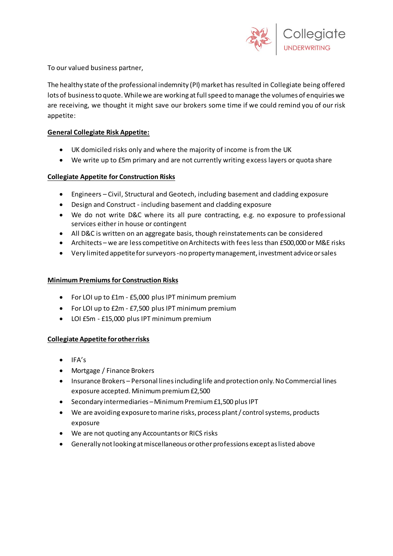

To our valued business partner,

The healthy state of the professional indemnity (PI) market has resulted in Collegiate being offered lots of business to quote. While we are working at full speed to manage the volumes of enquiries we are receiving, we thought it might save our brokers some time if we could remind you of our risk appetite:

## **General Collegiate Risk Appetite:**

- UK domiciled risks only and where the majority of income is from the UK
- We write up to £5m primary and are not currently writing excess layers or quota share

# **Collegiate Appetite for Construction Risks**

- Engineers Civil, Structural and Geotech, including basement and cladding exposure
- Design and Construct including basement and cladding exposure
- We do not write D&C where its all pure contracting, e.g. no exposure to professional services either in house or contingent
- All D&C is written on an aggregate basis, though reinstatements can be considered
- Architects we are less competitive on Architects with fees less than £500,000 or M&E risks
- Very limited appetite for surveyors -no property management, investment advice or sales

### **Minimum Premiums for Construction Risks**

- For LOI up to £1m £5,000 plus IPT minimum premium
- For LOI up to £2m £7,500 plus IPT minimum premium
- LOI £5m £15,000 plus IPT minimum premium

### **Collegiate Appetite for other risks**

- $\bullet$  IFA's
- Mortgage / Finance Brokers
- Insurance Brokers Personal lines including life and protection only. No Commercial lines exposure accepted. Minimum premium £2,500
- Secondary intermediaries –Minimum Premium £1,500 plus IPT
- We are avoiding exposure to marine risks, process plant / control systems, products exposure
- We are not quoting any Accountants or RICS risks
- Generally not looking at miscellaneous or other professions except as listed above